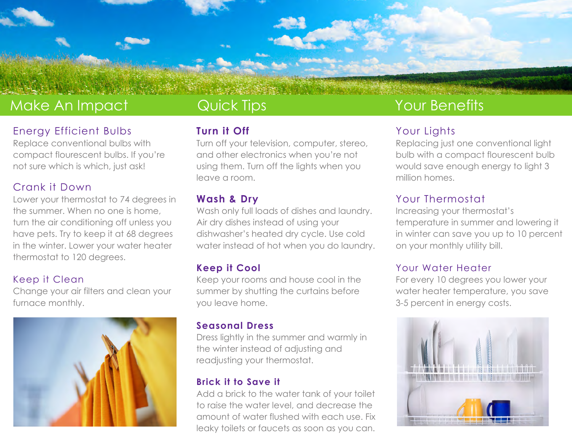

## Make An Impact

### Energy Efficient Bulbs

Replace conventional bulbs with compact flourescent bulbs. If you're not sure which is which, just ask!

### Crank it Down

Lower your thermostat to 74 degrees in the summer. When no one is home, turn the air conditioning off unless you have pets. Try to keep it at 68 degrees in the winter. Lower your water heater thermostat to 120 degrees.

#### Keep it Clean

Change your air filters and clean your furnace monthly.



## Quick Tips

### **Turn it Off**

Turn off your television, computer, stereo, and other electronics when you're not using them. Turn off the lights when you leave a room.

### **Wash & Dry**

Wash only full loads of dishes and laundry. Air dry dishes instead of using your dishwasher's heated dry cycle. Use cold water instead of hot when you do laundry.

### **Keep it Cool**

Keep your rooms and house cool in the summer by shutting the curtains before you leave home.

#### **Seasonal Dress**

Dress lightly in the summer and warmly in the winter instead of adjusting and readjusting your thermostat.

#### **Brick it to Save it**

Add a brick to the water tank of your toilet to raise the water level, and decrease the amount of water flushed with each use. Fix leaky toilets or faucets as soon as you can.

## Your Benefits

### Your Lights

Replacing just one conventional light bulb with a compact flourescent bulb would save enough energy to light 3 million homes.

### Your Thermostat

Increasing your thermostat's temperature in summer and lowering it in winter can save you up to 10 percent on your monthly utility bill.

#### Your Water Heater

For every 10 degrees you lower your water heater temperature, you save 3-5 percent in energy costs.